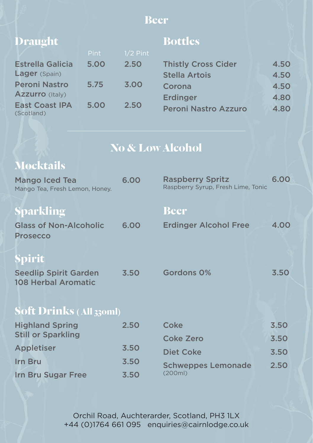#### **Beer**

| <b>Draught</b>                      |             |            | <b>Bottles</b>              |      |
|-------------------------------------|-------------|------------|-----------------------------|------|
|                                     | <b>Pint</b> | $1/2$ Pint |                             |      |
| <b>Estrella Galicia</b>             | 5.00        | 2.50       | <b>Thistly Cross Cider</b>  | 4.50 |
| Lager (Spain)                       |             |            | <b>Stella Artois</b>        | 4.50 |
| <b>Peroni Nastro</b>                | 5.75        | 3.00       | Corona                      | 4.50 |
| <b>Azzurro</b> (Italy)              |             |            | <b>Erdinger</b>             | 4.80 |
| <b>East Coast IPA</b><br>(Scotland) | 5.00        | 2.50       | <b>Peroni Nastro Azzuro</b> | 4.80 |

# **No & Low Alcohol**

# **Mocktails**

| <b>Mango Iced Tea</b><br>Mango Tea, Fresh Lemon, Honey.    | 6.00 | <b>Raspberry Spritz</b><br>Raspberry Syrup, Fresh Lime, Tonic | 6.00 |
|------------------------------------------------------------|------|---------------------------------------------------------------|------|
| <b>Sparkling</b>                                           |      | <b>Beer</b>                                                   |      |
| <b>Glass of Non-Alcoholic</b><br><b>Prosecco</b>           | 6.00 | <b>Erdinger Alcohol Free</b>                                  | 4.00 |
| Spirit                                                     |      |                                                               |      |
| <b>Seedlip Spirit Garden</b><br><b>108 Herbal Aromatic</b> | 3.50 | Gordons 0%                                                    | 3.50 |
| <b>Soft Drinks (All 330ml)</b>                             |      |                                                               |      |
| <b>Highland Spring</b>                                     | 2.50 | <b>Coke</b>                                                   | 3.50 |
| <b>Still or Sparkling</b>                                  |      | <b>Coke Zero</b>                                              | 3.50 |
| <b>Appletiser</b>                                          | 3.50 | <b>Diet Coke</b>                                              | 3.50 |
| Irn Bru                                                    | 3.50 | <b>Schweppes Lemonade</b>                                     | 2.50 |
| <b>Irn Bru Sugar Free</b>                                  | 3.50 | (200ml)                                                       |      |

Orchil Road, Auchterarder, Scotland, PH3 1LX +44 (0)1764 661 095 enquiries@cairnlodge.co.uk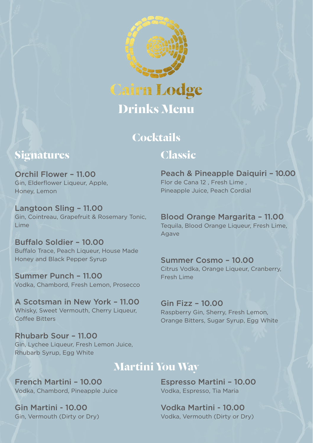

# **Cocktails Classic**

#### **Signatures**

Orchil Flower – 11.00 Gin, Elderflower Liqueur, Apple, Honey, Lemon

Langtoon Sling – 11.00 Gin, Cointreau, Grapefruit & Rosemary Tonic, Lime

Buffalo Soldier – 10.00 Buffalo Trace, Peach Liqueur, House Made Honey and Black Pepper Syrup

Summer Punch – 11.00 Vodka, Chambord, Fresh Lemon, Prosecco

A Scotsman in New York – 11.00 Whisky, Sweet Vermouth, Cherry Liqueur, Coffee Bitters

Rhubarb Sour – 11.00 Gin, Lychee Liqueur, Fresh Lemon Juice, Rhubarb Syrup, Egg White

## **Martini You Way**

French Martini – 10.00 Vodka, Chambord, Pineapple Juice

Gin Martini - 10.00 Gin, Vermouth (Dirty or Dry)

Peach & Pineapple Daiquiri – 10.00 Flor de Cana 12 , Fresh Lime , Pineapple Juice, Peach Cordial

#### Blood Orange Margarita – 11.00 Tequila, Blood Orange Liqueur, Fresh Lime,

Agave

#### Summer Cosmo – 10.00

Citrus Vodka, Orange Liqueur, Cranberry, Fresh Lime

Gin Fizz – 10.00 Raspberry Gin, Sherry, Fresh Lemon, Orange Bitters, Sugar Syrup, Egg White

Espresso Martini – 10.00 Vodka, Espresso, Tia Maria

Vodka Martini - 10.00 Vodka, Vermouth (Dirty or Dry)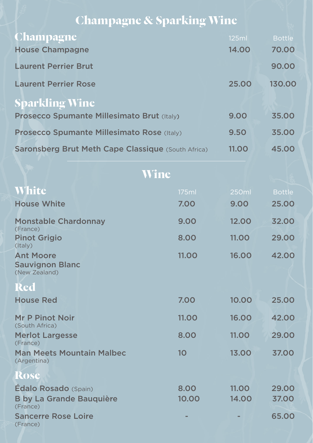# **Champagne & Sparking Wine**

| <b>Champagne</b>                                          | 125ml | <b>Bottle</b> |
|-----------------------------------------------------------|-------|---------------|
| <b>House Champagne</b>                                    | 14.00 | 70.00         |
| <b>Laurent Perrier Brut</b>                               |       | 90.00         |
| <b>Laurent Perrier Rose</b>                               | 25.00 | 130.00        |
| <b>Sparkling Wine</b>                                     |       |               |
| <b>Prosecco Spumante Millesimato Brut (Italy)</b>         | 9.00  | 35,00         |
| Prosecco Spumante Millesimato Rose (Italy)                | 9.50  | 35,00         |
| <b>Saronsberg Brut Meth Cape Classique (South Africa)</b> | 11.00 | 45.00         |

|                                                             | Wine            |              |               |
|-------------------------------------------------------------|-----------------|--------------|---------------|
| <b>White</b>                                                | 175ml           | 250ml        | <b>Bottle</b> |
| <b>House White</b>                                          | 7.00            | 9.00         | 25,00         |
| <b>Monstable Chardonnay</b><br>(France)                     | 9.00            | 12.00        | 32.00         |
| <b>Pinot Grigio</b><br>(Italy)                              | 8.00            | 11.00        | 29,00         |
| <b>Ant Moore</b><br><b>Sauvignon Blanc</b><br>(New Zealand) | 11.00           | 16.00        | 42.00         |
| <b>Red</b>                                                  |                 |              |               |
| <b>House Red</b>                                            | 7.00            | 10.00        | 25.00         |
| <b>Mr P Pinot Noir</b><br>(South Africa)                    | 11.00           | 16.00        | 42.00         |
| <b>Merlot Largesse</b><br>(France)                          | 8.00            | 11.00        | 29,00         |
| <b>Man Meets Mountain Malbec</b><br>(Argentina)             | 10 <sup>°</sup> | 13.00        | 37.00         |
| <b>Rose</b>                                                 |                 |              |               |
| <b>Édalo Rosado</b> (Spain)                                 | 8.00            | <b>11.00</b> | 29,00         |
| <b>B by La Grande Bauquière</b><br>(France)                 | 10.00           | 14.00        | 37.00         |
| <b>Sancerre Rose Loire</b><br>(France)                      |                 |              | 65.00         |